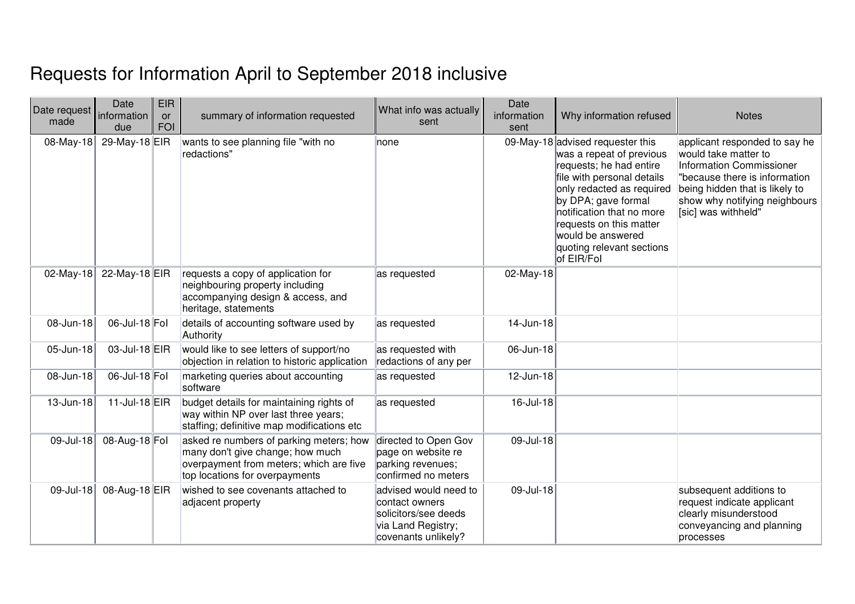## Requests for Information April to September 2018 inclusive

| Date request<br>made | Date<br>information<br>due | <b>EIR</b><br><b>or</b><br><b>FOI</b> | summary of information requested                                                                                                                         | What info was actually<br>sent                                                                               | Date<br>information<br>sent | Why information refused                                                                                                                                                                                                                                                                           | <b>Notes</b>                                                                                                                                                                                                 |
|----------------------|----------------------------|---------------------------------------|----------------------------------------------------------------------------------------------------------------------------------------------------------|--------------------------------------------------------------------------------------------------------------|-----------------------------|---------------------------------------------------------------------------------------------------------------------------------------------------------------------------------------------------------------------------------------------------------------------------------------------------|--------------------------------------------------------------------------------------------------------------------------------------------------------------------------------------------------------------|
| 08-May-18            | 29-May-18 EIR              |                                       | wants to see planning file "with no<br>redactions"                                                                                                       | none                                                                                                         |                             | 09-May-18 advised requester this<br>was a repeat of previous<br>requests; he had entire<br>file with personal details<br>only redacted as required<br>by DPA; gave formal<br>notification that no more<br>requests on this matter<br>would be answered<br>quoting relevant sections<br>of EIR/Fol | applicant responded to say he<br>would take matter to<br>Information Commissioner<br>"because there is information<br>being hidden that is likely to<br>show why notifying neighbours<br>[sic] was withheld" |
| 02-May-18            | 22-May-18 EIR              |                                       | requests a copy of application for<br>neighbouring property including<br>accompanying design & access, and<br>heritage, statements                       | as requested                                                                                                 | 02-May-18                   |                                                                                                                                                                                                                                                                                                   |                                                                                                                                                                                                              |
| 08-Jun-18            | 06-Jul-18 Fol              |                                       | details of accounting software used by<br>Authority                                                                                                      | as requested                                                                                                 | 14-Jun-18                   |                                                                                                                                                                                                                                                                                                   |                                                                                                                                                                                                              |
| 05-Jun-18            | 03-Jul-18 EIR              |                                       | would like to see letters of support/no<br>objection in relation to historic application                                                                 | as requested with<br>redactions of any per                                                                   | 06-Jun-18                   |                                                                                                                                                                                                                                                                                                   |                                                                                                                                                                                                              |
| 08-Jun-18            | 06-Jul-18 Fol              |                                       | marketing queries about accounting<br>software                                                                                                           | as requested                                                                                                 | 12-Jun-18                   |                                                                                                                                                                                                                                                                                                   |                                                                                                                                                                                                              |
| 13-Jun-18            | 11-Jul-18 EIR              |                                       | budget details for maintaining rights of<br>way within NP over last three years;<br>staffing; definitive map modifications etc                           | as requested                                                                                                 | 16-Jul-18                   |                                                                                                                                                                                                                                                                                                   |                                                                                                                                                                                                              |
| 09-Jul-18            | 08-Aug-18 Fol              |                                       | asked re numbers of parking meters; how<br>many don't give change; how much<br>overpayment from meters; which are five<br>top locations for overpayments | directed to Open Gov<br>page on website re<br>parking revenues;<br>confirmed no meters                       | 09-Jul-18                   |                                                                                                                                                                                                                                                                                                   |                                                                                                                                                                                                              |
| 09-Jul-18            | 08-Aug-18 EIR              |                                       | wished to see covenants attached to<br>adjacent property                                                                                                 | advised would need to<br>contact owners<br>solicitors/see deeds<br>via Land Registry;<br>covenants unlikely? | 09-Jul-18                   |                                                                                                                                                                                                                                                                                                   | subsequent additions to<br>request indicate applicant<br>clearly misunderstood<br>conveyancing and planning<br>processes                                                                                     |